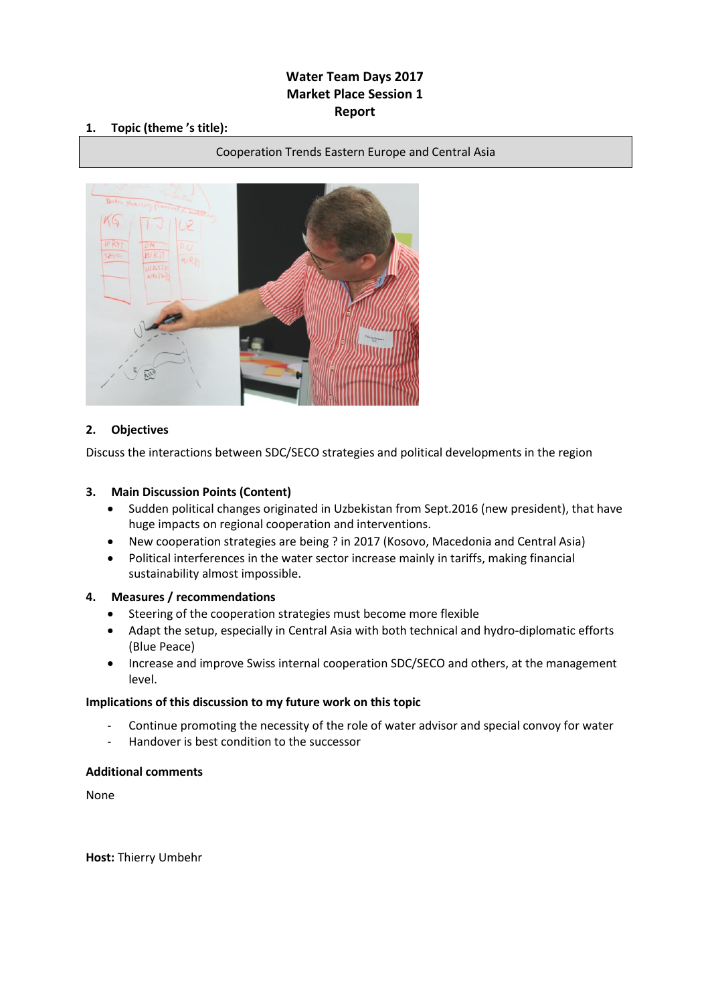# **Water Team Days 2017 Market Place Session 1 Report**

### **1. Topic (theme 's title):**

#### Cooperation Trends Eastern Europe and Central Asia



## **2. Objectives**

Discuss the interactions between SDC/SECO strategies and political developments in the region

### **3. Main Discussion Points (Content)**

- Sudden political changes originated in Uzbekistan from Sept.2016 (new president), that have huge impacts on regional cooperation and interventions.
- New cooperation strategies are being ? in 2017 (Kosovo, Macedonia and Central Asia)
- Political interferences in the water sector increase mainly in tariffs, making financial sustainability almost impossible.

#### **4. Measures / recommendations**

- Steering of the cooperation strategies must become more flexible
- Adapt the setup, especially in Central Asia with both technical and hydro-diplomatic efforts (Blue Peace)
- Increase and improve Swiss internal cooperation SDC/SECO and others, at the management level.

#### **Implications of this discussion to my future work on this topic**

- Continue promoting the necessity of the role of water advisor and special convoy for water
- Handover is best condition to the successor

#### **Additional comments**

None

**Host:** Thierry Umbehr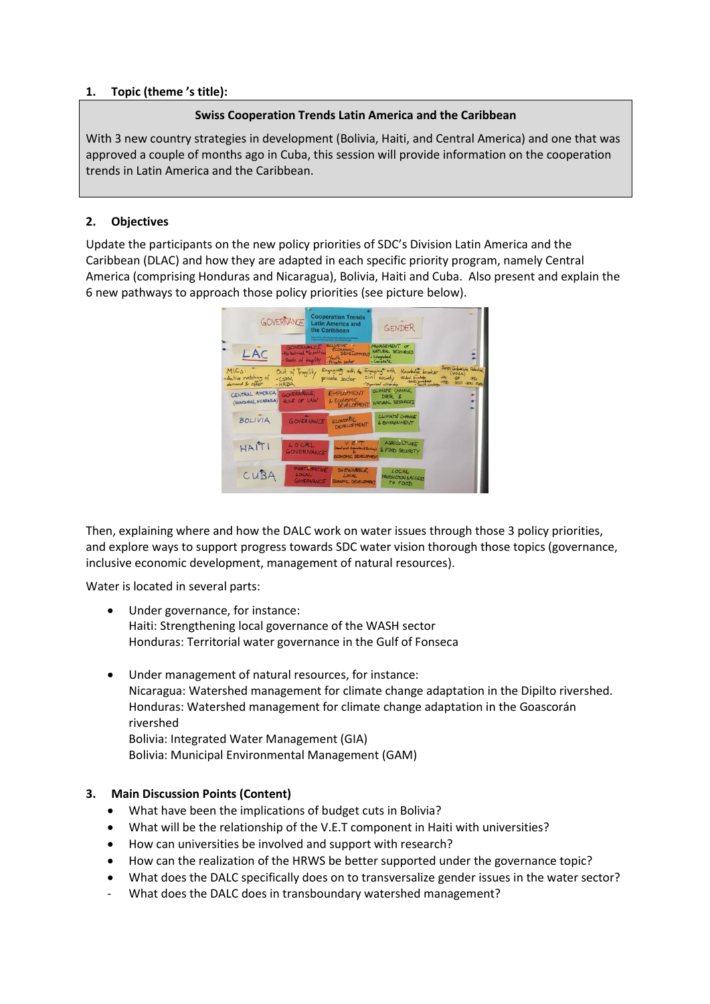## **Swiss Cooperation Trends Latin America and the Caribbean**

With 3 new country strategies in development (Bolivia, Haiti, and Central America) and one that was approved a couple of months ago in Cuba, this session will provide information on the cooperation trends in Latin America and the Caribbean.

### **2. Objectives**

Update the participants on the new policy priorities of SDC's Division Latin America and the Caribbean (DLAC) and how they are adapted in each specific priority program, namely Central America (comprising Honduras and Nicaragua), Bolivia, Haiti and Cuba. Also present and explain the 6 new pathways to approach those policy priorities (see picture below).



Then, explaining where and how the DALC work on water issues through those 3 policy priorities, and explore ways to support progress towards SDC water vision thorough those topics (governance, inclusive economic development, management of natural resources).

Water is located in several parts:

- Under governance, for instance: Haiti: Strengthening local governance of the WASH sector Honduras: Territorial water governance in the Gulf of Fonseca
- Under management of natural resources, for instance: Nicaragua: Watershed management for climate change adaptation in the Dipilto rivershed. Honduras: Watershed management for climate change adaptation in the Goascorán rivershed Bolivia: Integrated Water Management (GIA) Bolivia: Municipal Environmental Management (GAM)

## **3. Main Discussion Points (Content)**

- What have been the implications of budget cuts in Bolivia?
- What will be the relationship of the V.E.T component in Haiti with universities?
- How can universities be involved and support with research?
- How can the realization of the HRWS be better supported under the governance topic?
- What does the DALC specifically does on to transversalize gender issues in the water sector?
- What does the DALC does in transboundary watershed management?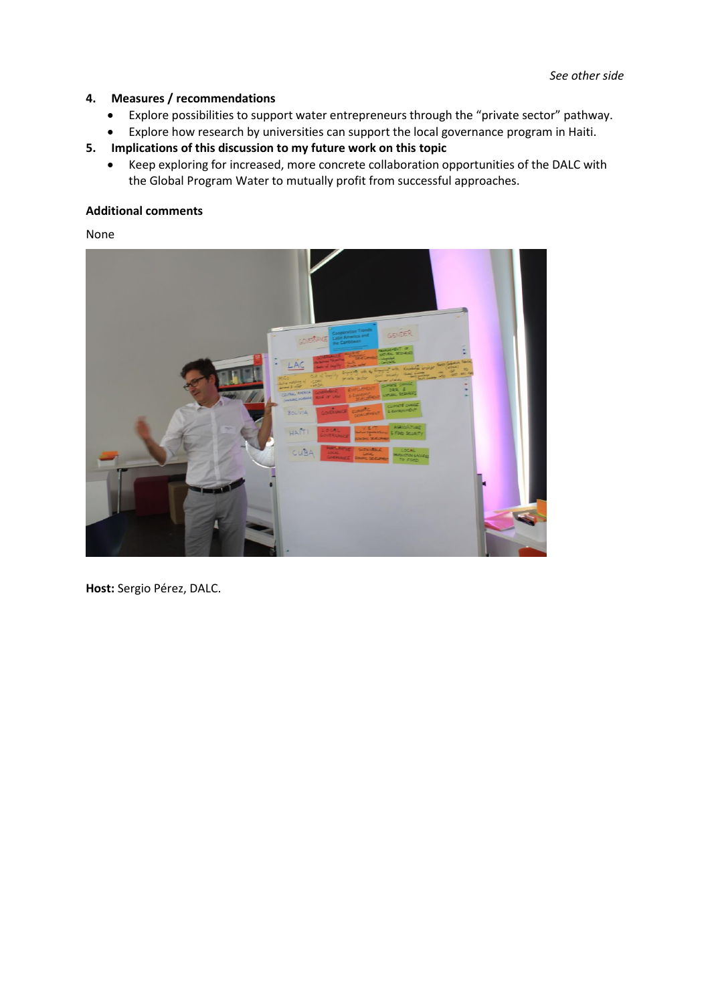## **4. Measures / recommendations**

- Explore possibilities to support water entrepreneurs through the "private sector" pathway.
- Explore how research by universities can support the local governance program in Haiti.
- **5. Implications of this discussion to my future work on this topic**
	- Keep exploring for increased, more concrete collaboration opportunities of the DALC with the Global Program Water to mutually profit from successful approaches.

### **Additional comments**

None



**Host:** Sergio Pérez, DALC.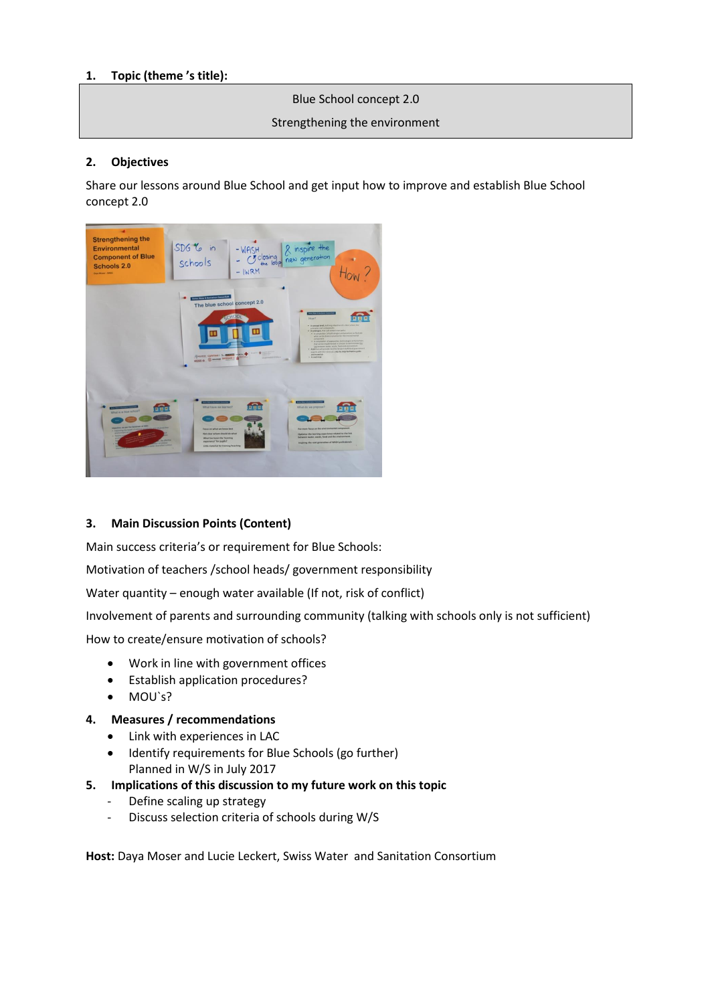Blue School concept 2.0

### Strengthening the environment

### **2. Objectives**

Share our lessons around Blue School and get input how to improve and establish Blue School concept 2.0



## **3. Main Discussion Points (Content)**

Main success criteria's or requirement for Blue Schools:

Motivation of teachers /school heads/ government responsibility

Water quantity – enough water available (If not, risk of conflict)

Involvement of parents and surrounding community (talking with schools only is not sufficient)

How to create/ensure motivation of schools?

- Work in line with government offices
- Establish application procedures?
- MOU`s?

#### **4. Measures / recommendations**

- Link with experiences in LAC
- Identify requirements for Blue Schools (go further) Planned in W/S in July 2017
- **5. Implications of this discussion to my future work on this topic**
	- Define scaling up strategy
	- Discuss selection criteria of schools during W/S

**Host:** Daya Moser and Lucie Leckert, Swiss Water and Sanitation Consortium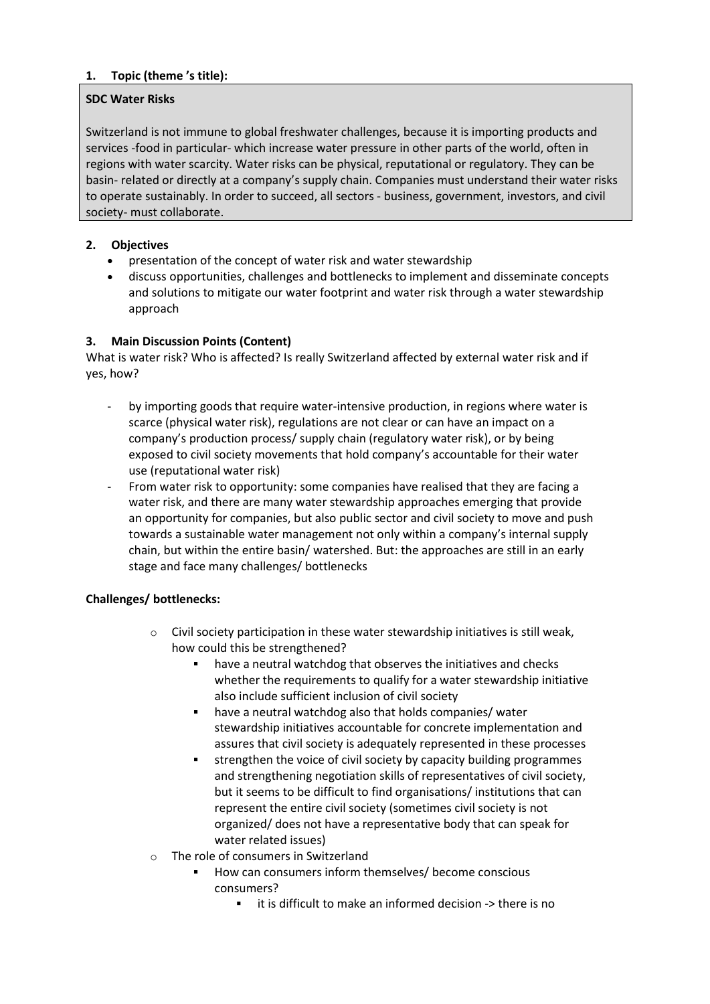## **SDC Water Risks**

Switzerland is not immune to global freshwater challenges, because it is importing products and services -food in particular- which increase water pressure in other parts of the world, often in regions with water scarcity. Water risks can be physical, reputational or regulatory. They can be basin- related or directly at a company's supply chain. Companies must understand their water risks to operate sustainably. In order to succeed, all sectors - business, government, investors, and civil society- must collaborate.

# **2. Objectives**

- presentation of the concept of water risk and water stewardship
- discuss opportunities, challenges and bottlenecks to implement and disseminate concepts and solutions to mitigate our water footprint and water risk through a water stewardship approach

## **3. Main Discussion Points (Content)**

What is water risk? Who is affected? Is really Switzerland affected by external water risk and if yes, how?

- by importing goods that require water-intensive production, in regions where water is scarce (physical water risk), regulations are not clear or can have an impact on a company's production process/ supply chain (regulatory water risk), or by being exposed to civil society movements that hold company's accountable for their water use (reputational water risk)
- From water risk to opportunity: some companies have realised that they are facing a water risk, and there are many water stewardship approaches emerging that provide an opportunity for companies, but also public sector and civil society to move and push towards a sustainable water management not only within a company's internal supply chain, but within the entire basin/ watershed. But: the approaches are still in an early stage and face many challenges/ bottlenecks

## **Challenges/ bottlenecks:**

- Civil society participation in these water stewardship initiatives is still weak, how could this be strengthened?
	- have a neutral watchdog that observes the initiatives and checks whether the requirements to qualify for a water stewardship initiative also include sufficient inclusion of civil society
	- have a neutral watchdog also that holds companies/ water stewardship initiatives accountable for concrete implementation and assures that civil society is adequately represented in these processes
	- strengthen the voice of civil society by capacity building programmes and strengthening negotiation skills of representatives of civil society, but it seems to be difficult to find organisations/ institutions that can represent the entire civil society (sometimes civil society is not organized/ does not have a representative body that can speak for water related issues)
- o The role of consumers in Switzerland
	- How can consumers inform themselves/ become conscious consumers?
		- it is difficult to make an informed decision -> there is no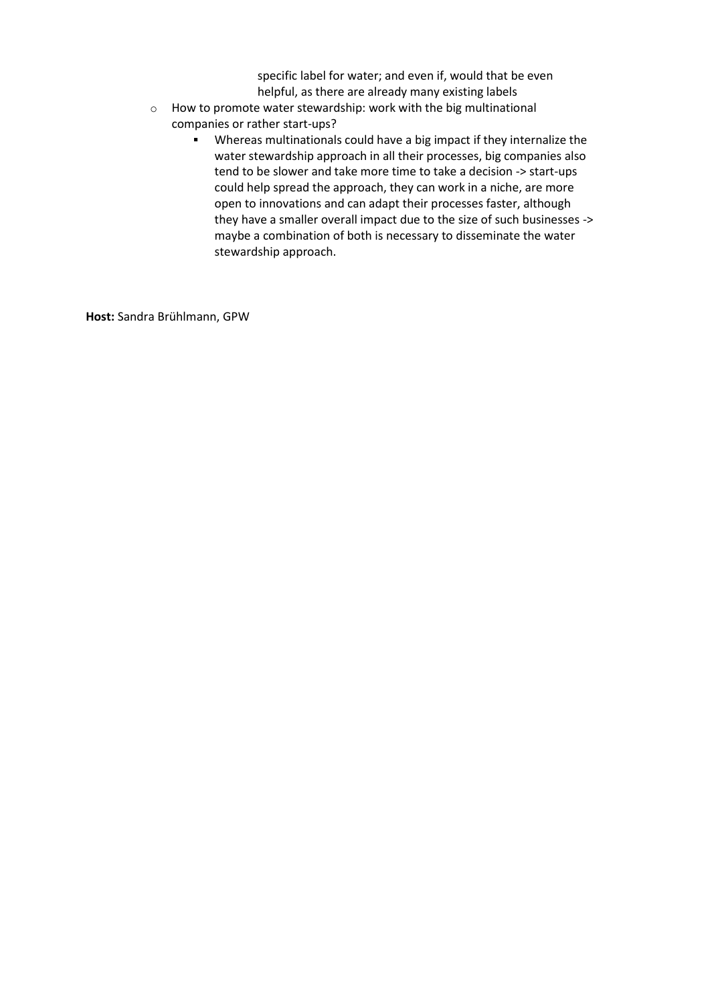specific label for water; and even if, would that be even helpful, as there are already many existing labels

- o How to promote water stewardship: work with the big multinational companies or rather start-ups?
	- Whereas multinationals could have a big impact if they internalize the water stewardship approach in all their processes, big companies also tend to be slower and take more time to take a decision -> start-ups could help spread the approach, they can work in a niche, are more open to innovations and can adapt their processes faster, although they have a smaller overall impact due to the size of such businesses -> maybe a combination of both is necessary to disseminate the water stewardship approach.

**Host:** Sandra Brühlmann, GPW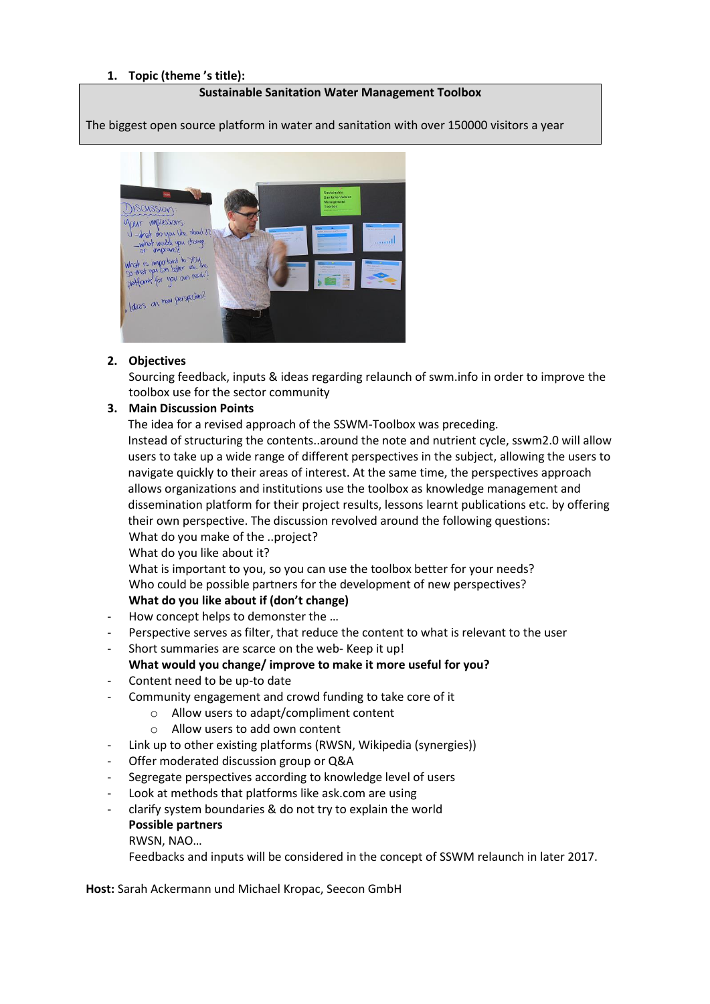#### **Sustainable Sanitation Water Management Toolbox**

The biggest open source platform in water and sanitation with over 150000 visitors a year



### **2. Objectives**

Sourcing feedback, inputs & ideas regarding relaunch of swm.info in order to improve the toolbox use for the sector community

#### **3. Main Discussion Points**

The idea for a revised approach of the SSWM-Toolbox was preceding.

Instead of structuring the contents..around the note and nutrient cycle, sswm2.0 will allow users to take up a wide range of different perspectives in the subject, allowing the users to navigate quickly to their areas of interest. At the same time, the perspectives approach allows organizations and institutions use the toolbox as knowledge management and dissemination platform for their project results, lessons learnt publications etc. by offering their own perspective. The discussion revolved around the following questions: What do you make of the ..project?

What do you like about it?

What is important to you, so you can use the toolbox better for your needs? Who could be possible partners for the development of new perspectives?

## **What do you like about if (don't change)**

- How concept helps to demonster the ...
- Perspective serves as filter, that reduce the content to what is relevant to the user
- Short summaries are scarce on the web- Keep it up!
- **What would you change/ improve to make it more useful for you?**
- Content need to be up-to date
- Community engagement and crowd funding to take core of it
	- o Allow users to adapt/compliment content
	- o Allow users to add own content
- Link up to other existing platforms (RWSN, Wikipedia (synergies))
- Offer moderated discussion group or Q&A
- Segregate perspectives according to knowledge level of users
- Look at methods that platforms like ask.com are using
- clarify system boundaries & do not try to explain the world **Possible partners**

RWSN, NAO…

Feedbacks and inputs will be considered in the concept of SSWM relaunch in later 2017.

**Host:** Sarah Ackermann und Michael Kropac, Seecon GmbH